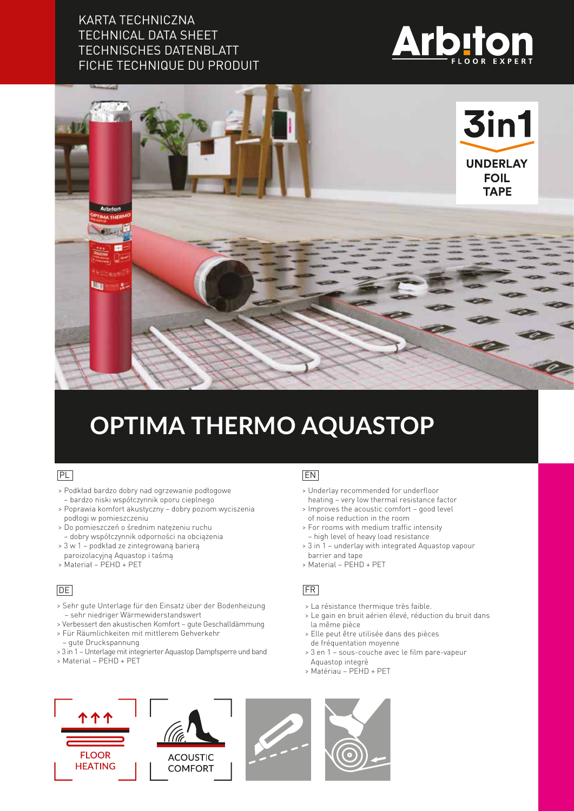### KARTA TECHNICZNA TECHNICAL DATA SHEET TECHNISCHES DATENBLATT FICHE TECHNIQUE DU PRODUIT





# **OPTIMA THERMO AQUASTOP**

#### PL

- > Podkład bardzo dobry nad ogrzewanie podłogowe – bardzo niski współczynnik oporu cieplnego
- > Poprawia komfort akustyczny dobry poziom wyciszenia podłogi w pomieszczeniu
- > Do pomieszczeń o średnim natężeniu ruchu
- dobry współczynnik odporności na obciążenia
- > 3 w 1 podkład ze zintegrowaną barierą
- paroizolacyjną Aquastop i taśmą > Materiał – PEHD + PET

#### DE

- > Sehr gute Unterlage für den Einsatz über der Bodenheizung – sehr niedriger Wärmewiderstandswert
- > Verbessert den akustischen Komfort gute Geschalldämmung
- > Für Räumlichkeiten mit mittlerem Gehverkehr
- gute Druckspannung
- > 3 in 1 Unterlage mit integrierter Aquastop Dampfsperre und band
- > Material PEHD + PET

#### EN

- > Underlay recommended for underfloor heating – very low thermal resistance factor
- > Improves the acoustic comfort good level of noise reduction in the room
- > For rooms with medium traffic intensity – high level of heavy load resistance
- > 3 in 1 underlay with integrated Aquastop vapour
- barrier and tape
- > Material PEHD + PET

#### FR

- > La résistance thermique très faible.
- > Le gain en bruit aérien élevé, réduction du bruit dans la même pièce
- > Elle peut être utilisée dans des pièces de fréquentation moyenne
- > 3 en 1 sous-couche avec le film pare-vapeur Aquastop integrè
- > Matériau PEHD + PET